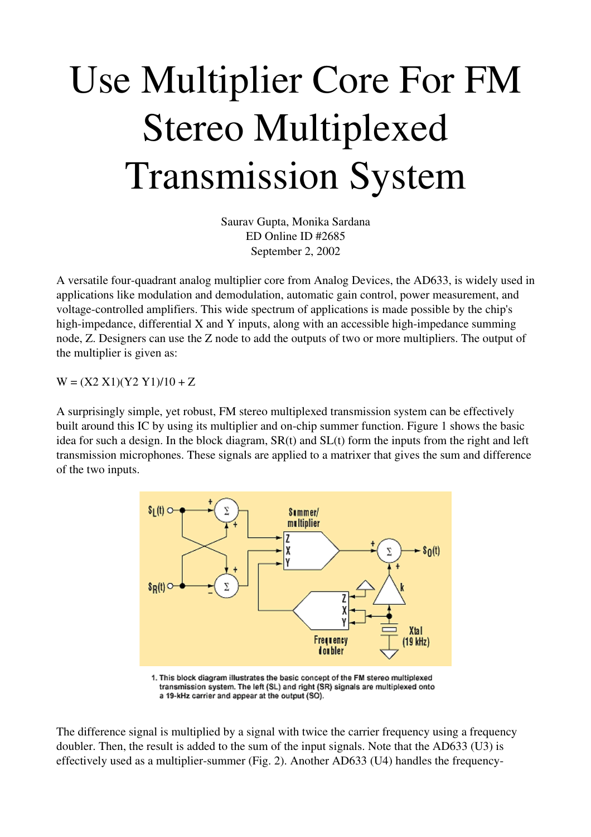## Use Multiplier Core For FM Stereo Multiplexed Transmission System

Saurav Gupta, Monika Sardana ED Online ID #2685 September 2, 2002

A versatile four-quadrant analog multiplier core from Analog Devices, the AD633, is widely used in applications like modulation and demodulation, automatic gain control, power measurement, and voltage-controlled amplifiers. This wide spectrum of applications is made possible by the chip's high-impedance, differential  $X$  and  $Y$  inputs, along with an accessible high-impedance summing node, Z. Designers can use the Z node to add the outputs of two or more multipliers. The output of the multiplier is given as:

 $W = (X2 X1)(Y2 Y1)/10 + Z$ 

A surprisingly simple, yet robust, FM stereo multiplexed transmission system can be effectively built around this IC by using its multiplier and on-chip summer function. Figure 1 shows the basic idea for such a design. In the block diagram, SR(t) and SL(t) form the inputs from the right and left transmission microphones. These signals are applied to a matrixer that gives the sum and difference of the two inputs.



1. This block diagram illustrates the basic concept of the FM stereo multiplexed transmission system. The left (SL) and right (SR) signals are multiplexed onto a 19-kHz carrier and appear at the output (SO).

The difference signal is multiplied by a signal with twice the carrier frequency using a frequency doubler. Then, the result is added to the sum of the input signals. Note that the AD633 (U3) is effectively used as a multiplier-summer (Fig. 2). Another AD633 (U4) handles the frequency